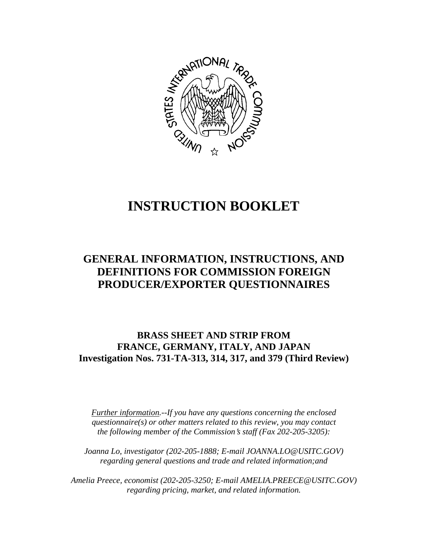

# **INSTRUCTION BOOKLET**

# **GENERAL INFORMATION, INSTRUCTIONS, AND DEFINITIONS FOR COMMISSION FOREIGN PRODUCER/EXPORTER QUESTIONNAIRES**

**BRASS SHEET AND STRIP FROM FRANCE, GERMANY, ITALY, AND JAPAN Investigation Nos. 731-TA-313, 314, 317, and 379 (Third Review)**

*Further information.--If you have any questions concerning the enclosed questionnaire(s) or other matters related to this review, you may contact the following member of the Commission*=*s staff (Fax 202-205-3205):* 

*Joanna Lo, investigator (202-205-1888; E-mail JOANNA.LO@USITC.GOV) regarding general questions and trade and related information;and* 

 *Amelia Preece, economist (202-205-3250; E-mail AMELIA.PREECE@USITC.GOV) regarding pricing, market, and related information.*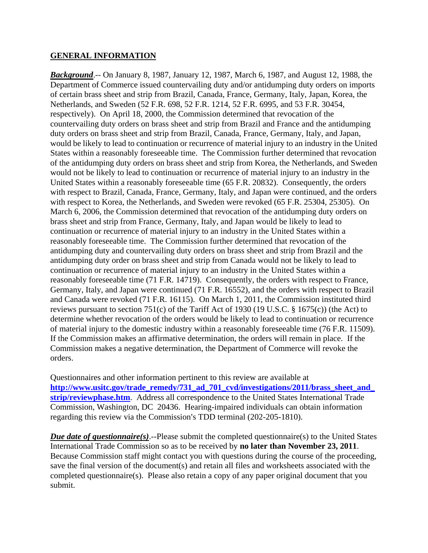#### **GENERAL INFORMATION**

*Background*.-- On January 8, 1987, January 12, 1987, March 6, 1987, and August 12, 1988, the Department of Commerce issued countervailing duty and/or antidumping duty orders on imports of certain brass sheet and strip from Brazil, Canada, France, Germany, Italy, Japan, Korea, the Netherlands, and Sweden (52 F.R. 698, 52 F.R. 1214, 52 F.R. 6995, and 53 F.R. 30454, respectively). On April 18, 2000, the Commission determined that revocation of the countervailing duty orders on brass sheet and strip from Brazil and France and the antidumping duty orders on brass sheet and strip from Brazil, Canada, France, Germany, Italy, and Japan, would be likely to lead to continuation or recurrence of material injury to an industry in the United States within a reasonably foreseeable time. The Commission further determined that revocation of the antidumping duty orders on brass sheet and strip from Korea, the Netherlands, and Sweden would not be likely to lead to continuation or recurrence of material injury to an industry in the United States within a reasonably foreseeable time (65 F.R. 20832). Consequently, the orders with respect to Brazil, Canada, France, Germany, Italy, and Japan were continued, and the orders with respect to Korea, the Netherlands, and Sweden were revoked (65 F.R. 25304, 25305). On March 6, 2006, the Commission determined that revocation of the antidumping duty orders on brass sheet and strip from France, Germany, Italy, and Japan would be likely to lead to continuation or recurrence of material injury to an industry in the United States within a reasonably foreseeable time. The Commission further determined that revocation of the antidumping duty and countervailing duty orders on brass sheet and strip from Brazil and the antidumping duty order on brass sheet and strip from Canada would not be likely to lead to continuation or recurrence of material injury to an industry in the United States within a reasonably foreseeable time (71 F.R. 14719). Consequently, the orders with respect to France, Germany, Italy, and Japan were continued (71 F.R. 16552), and the orders with respect to Brazil and Canada were revoked (71 F.R. 16115). On March 1, 2011, the Commission instituted third reviews pursuant to section 751(c) of the Tariff Act of 1930 (19 U.S.C. § 1675(c)) (the Act) to determine whether revocation of the orders would be likely to lead to continuation or recurrence of material injury to the domestic industry within a reasonably foreseeable time (76 F.R. 11509). If the Commission makes an affirmative determination, the orders will remain in place. If the Commission makes a negative determination, the Department of Commerce will revoke the orders.

Questionnaires and other information pertinent to this review are available at **http://www.usitc.gov/trade\_remedy/731\_ad\_701\_cvd/investigations/2011/brass\_sheet\_and\_ strip/reviewphase.htm**. Address all correspondence to the United States International Trade Commission, Washington, DC 20436. Hearing-impaired individuals can obtain information regarding this review via the Commission's TDD terminal (202-205-1810).

*Due date of questionnaire(s).*--Please submit the completed questionnaire(s) to the United States International Trade Commission so as to be received by **no later than November 23, 2011**. Because Commission staff might contact you with questions during the course of the proceeding, save the final version of the document(s) and retain all files and worksheets associated with the completed questionnaire(s). Please also retain a copy of any paper original document that you submit.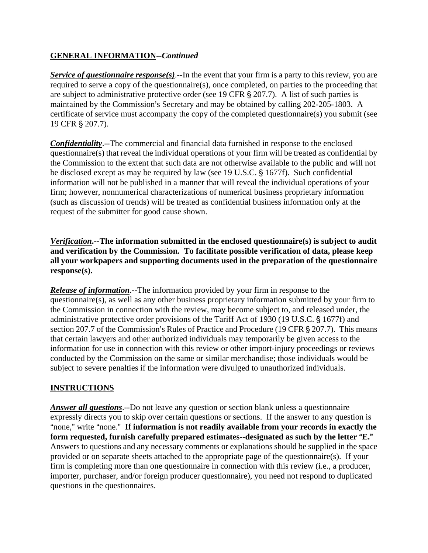# **GENERAL INFORMATION--***Continued*

*Service of questionnaire response(s)*.--In the event that your firm is a party to this review, you are required to serve a copy of the questionnaire(s), once completed, on parties to the proceeding that are subject to administrative protective order (see 19 CFR  $\S 207.7$ ). A list of such parties is maintained by the Commission's Secretary and may be obtained by calling 202-205-1803. A certificate of service must accompany the copy of the completed questionnaire(s) you submit (see 19 CFR § 207.7).

*Confidentiality*.--The commercial and financial data furnished in response to the enclosed questionnaire(s) that reveal the individual operations of your firm will be treated as confidential by the Commission to the extent that such data are not otherwise available to the public and will not be disclosed except as may be required by law (see 19 U.S.C. § 1677f). Such confidential information will not be published in a manner that will reveal the individual operations of your firm; however, nonnumerical characterizations of numerical business proprietary information (such as discussion of trends) will be treated as confidential business information only at the request of the submitter for good cause shown.

*Verification***.--The information submitted in the enclosed questionnaire(s) is subject to audit and verification by the Commission. To facilitate possible verification of data, please keep all your workpapers and supporting documents used in the preparation of the questionnaire response(s).**

*Release of information*.--The information provided by your firm in response to the questionnaire(s), as well as any other business proprietary information submitted by your firm to the Commission in connection with the review, may become subject to, and released under, the administrative protective order provisions of the Tariff Act of 1930 (19 U.S.C. § 1677f) and section 207.7 of the Commission's Rules of Practice and Procedure (19 CFR  $\S$  207.7). This means that certain lawyers and other authorized individuals may temporarily be given access to the information for use in connection with this review or other import-injury proceedings or reviews conducted by the Commission on the same or similar merchandise; those individuals would be subject to severe penalties if the information were divulged to unauthorized individuals.

# **INSTRUCTIONS**

*Answer all questions*.--Do not leave any question or section blank unless a questionnaire expressly directs you to skip over certain questions or sections. If the answer to any question is "none," write "none." If information is not readily available from your records in exactly the form requested, furnish carefully prepared estimates--designated as such by the letter "E." Answers to questions and any necessary comments or explanations should be supplied in the space provided or on separate sheets attached to the appropriate page of the questionnaire(s). If your firm is completing more than one questionnaire in connection with this review (i.e., a producer, importer, purchaser, and/or foreign producer questionnaire), you need not respond to duplicated questions in the questionnaires.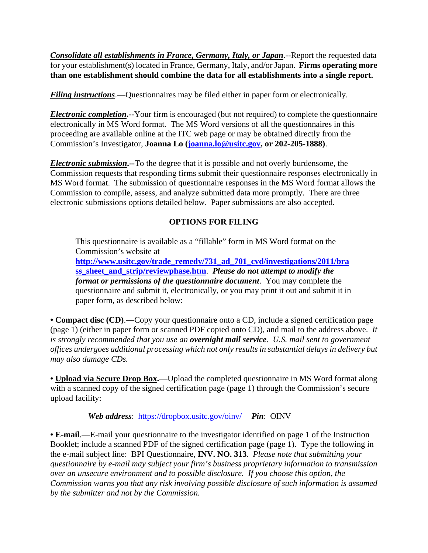*Consolidate all establishments in France, Germany, Italy, or Japan*.--Report the requested data for your establishment(s) located in France, Germany, Italy, and/or Japan. **Firms operating more than one establishment should combine the data for all establishments into a single report.** 

*Filing instructions*.—Questionnaires may be filed either in paper form or electronically.

*Electronic completion***.--**Your firm is encouraged (but not required) to complete the questionnaire electronically in MS Word format. The MS Word versions of all the questionnaires in this proceeding are available online at the ITC web page or may be obtained directly from the Commission's Investigator, **Joanna Lo (joanna.lo@usitc.gov, or 202-205-1888)**.

*Electronic submission***.--**To the degree that it is possible and not overly burdensome, the Commission requests that responding firms submit their questionnaire responses electronically in MS Word format. The submission of questionnaire responses in the MS Word format allows the Commission to compile, assess, and analyze submitted data more promptly. There are three electronic submissions options detailed below. Paper submissions are also accepted.

#### **OPTIONS FOR FILING**

This questionnaire is available as a "fillable" form in MS Word format on the Commission's website at

**http://www.usitc.gov/trade\_remedy/731\_ad\_701\_cvd/investigations/2011/bra ss\_sheet\_and\_strip/reviewphase.htm**. *Please do not attempt to modify the format or permissions of the questionnaire document*. You may complete the questionnaire and submit it, electronically, or you may print it out and submit it in paper form, as described below:

**• Compact disc (CD)**.—Copy your questionnaire onto a CD, include a signed certification page (page 1) (either in paper form or scanned PDF copied onto CD), and mail to the address above. *It is strongly recommended that you use an overnight mail service. U.S. mail sent to government offices undergoes additional processing which not only results in substantial delays in delivery but may also damage CDs.* 

• **Upload via Secure Drop Box.**—Upload the completed questionnaire in MS Word format along with a scanned copy of the signed certification page (page 1) through the Commission's secure upload facility:

*Web address*: https://dropbox.usitc.gov/oinv/ *Pin*: OINV

**• E-mail**.—E-mail your questionnaire to the investigator identified on page 1 of the Instruction Booklet; include a scanned PDF of the signed certification page (page 1). Type the following in the e-mail subject line: BPI Questionnaire, **INV. NO. 313**. *Please note that submitting your questionnaire by e-mail may subject your firm's business proprietary information to transmission over an unsecure environment and to possible disclosure. If you choose this option, the Commission warns you that any risk involving possible disclosure of such information is assumed by the submitter and not by the Commission.*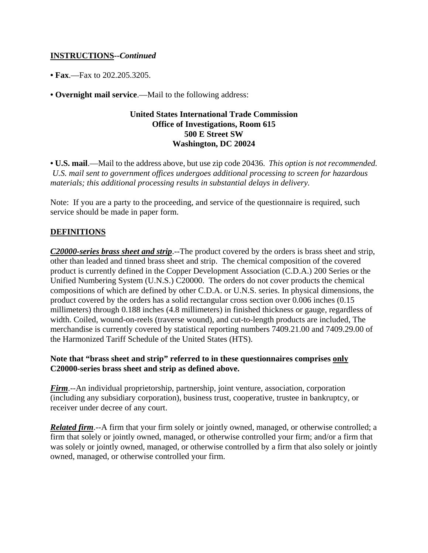### **INSTRUCTIONS--***Continued*

**• Fax**.—Fax to 202.205.3205.

**• Overnight mail service**.—Mail to the following address:

#### **United States International Trade Commission Office of Investigations, Room 615 500 E Street SW Washington, DC 20024**

**• U.S. mail**.—Mail to the address above, but use zip code 20436. *This option is not recommended. U.S. mail sent to government offices undergoes additional processing to screen for hazardous materials; this additional processing results in substantial delays in delivery.* 

Note: If you are a party to the proceeding, and service of the questionnaire is required, such service should be made in paper form.

# **DEFINITIONS**

*C20000-series brass sheet and strip*.--The product covered by the orders is brass sheet and strip, other than leaded and tinned brass sheet and strip. The chemical composition of the covered product is currently defined in the Copper Development Association (C.D.A.) 200 Series or the Unified Numbering System (U.N.S.) C20000. The orders do not cover products the chemical compositions of which are defined by other C.D.A. or U.N.S. series. In physical dimensions, the product covered by the orders has a solid rectangular cross section over 0.006 inches (0.15 millimeters) through 0.188 inches (4.8 millimeters) in finished thickness or gauge, regardless of width. Coiled, wound-on-reels (traverse wound), and cut-to-length products are included, The merchandise is currently covered by statistical reporting numbers 7409.21.00 and 7409.29.00 of the Harmonized Tariff Schedule of the United States (HTS).

#### **Note that "brass sheet and strip" referred to in these questionnaires comprises only C20000-series brass sheet and strip as defined above.**

*Firm*.--An individual proprietorship, partnership, joint venture, association, corporation (including any subsidiary corporation), business trust, cooperative, trustee in bankruptcy, or receiver under decree of any court.

*Related firm*.--A firm that your firm solely or jointly owned, managed, or otherwise controlled; a firm that solely or jointly owned, managed, or otherwise controlled your firm; and/or a firm that was solely or jointly owned, managed, or otherwise controlled by a firm that also solely or jointly owned, managed, or otherwise controlled your firm.